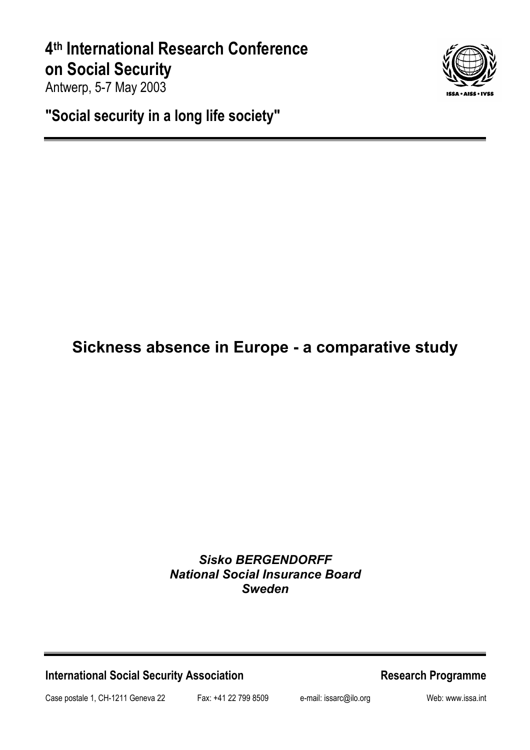# **4th International Research Conference on Social Security**

Antwerp, 5-7 May 2003

**"Social security in a long life society"** 

# **Sickness absence in Europe - a comparative study**

## *Sisko BERGENDORFF National Social Insurance Board Sweden*

**International Social Security Association Medicines According Research Programme** 

Case postale 1, CH-1211 Geneva 22 Fax: +41 22 799 8509 e-mail: issarc@ilo.org Web: www.issa.int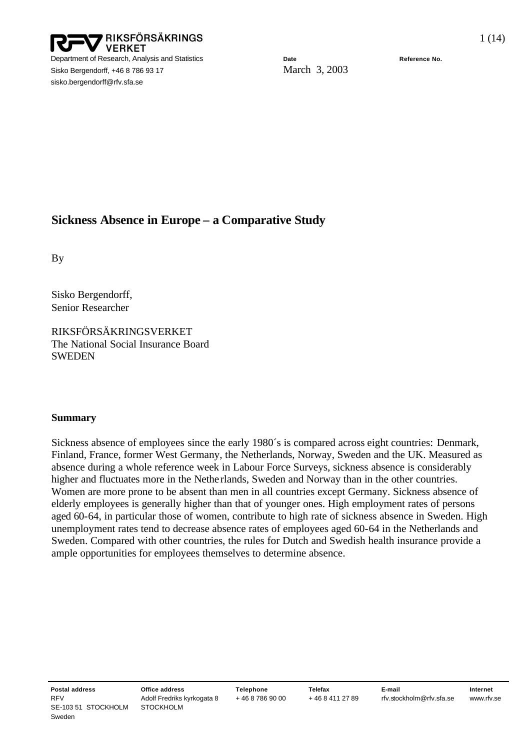

Sisko Bergendorff, +46 8 786 93 17 March 3, 2003 sisko.bergendorff@rfv.sfa.se

### **Sickness Absence in Europe – a Comparative Study**

By

Sisko Bergendorff, Senior Researcher

RIKSFÖRSÄKRINGSVERKET The National Social Insurance Board **SWEDEN** 

#### **Summary**

Sickness absence of employees since the early 1980´s is compared across eight countries: Denmark, Finland, France, former West Germany, the Netherlands, Norway, Sweden and the UK. Measured as absence during a whole reference week in Labour Force Surveys, sickness absence is considerably higher and fluctuates more in the Nethe rlands, Sweden and Norway than in the other countries. Women are more prone to be absent than men in all countries except Germany. Sickness absence of elderly employees is generally higher than that of younger ones. High employment rates of persons aged 60-64, in particular those of women, contribute to high rate of sickness absence in Sweden. High unemployment rates tend to decrease absence rates of employees aged 60-64 in the Netherlands and Sweden. Compared with other countries, the rules for Dutch and Swedish health insurance provide a ample opportunities for employees themselves to determine absence.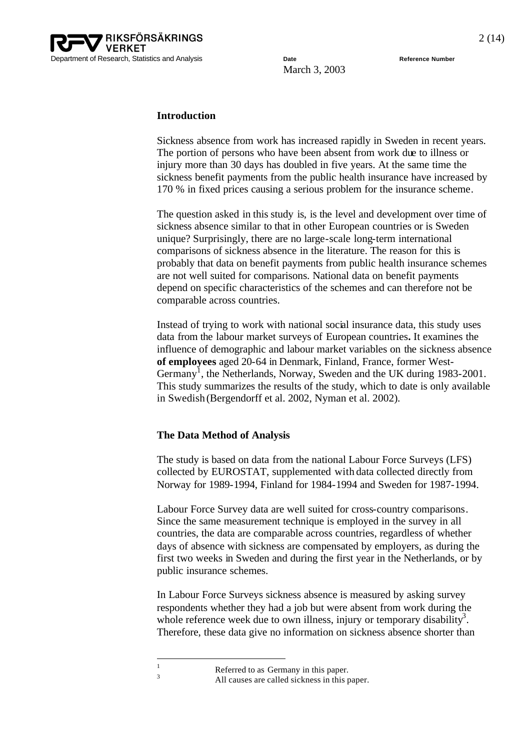

#### **Introduction**

Sickness absence from work has increased rapidly in Sweden in recent years. The portion of persons who have been absent from work due to illness or injury more than 30 days has doubled in five years. At the same time the sickness benefit payments from the public health insurance have increased by 170 % in fixed prices causing a serious problem for the insurance scheme.

The question asked in this study is, is the level and development over time of sickness absence similar to that in other European countries or is Sweden unique? Surprisingly, there are no large-scale long-term international comparisons of sickness absence in the literature. The reason for this is probably that data on benefit payments from public health insurance schemes are not well suited for comparisons. National data on benefit payments depend on specific characteristics of the schemes and can therefore not be comparable across countries.

Instead of trying to work with national social insurance data, this study uses data from the labour market surveys of European countries**.** It examines the influence of demographic and labour market variables on the sickness absence **of employees** aged 20-64 in Denmark, Finland, France, former West-Germany<sup>1</sup>, the Netherlands, Norway, Sweden and the UK during 1983-2001. This study summarizes the results of the study, which to date is only available in Swedish (Bergendorff et al. 2002, Nyman et al. 2002).

#### **The Data Method of Analysis**

The study is based on data from the national Labour Force Surveys (LFS) collected by EUROSTAT, supplemented with data collected directly from Norway for 1989-1994, Finland for 1984-1994 and Sweden for 1987-1994.

Labour Force Survey data are well suited for cross-country comparisons. Since the same measurement technique is employed in the survey in all countries, the data are comparable across countries, regardless of whether days of absence with sickness are compensated by employers, as during the first two weeks in Sweden and during the first year in the Netherlands, or by public insurance schemes.

In Labour Force Surveys sickness absence is measured by asking survey respondents whether they had a job but were absent from work during the whole reference week due to own illness, injury or temporary disability<sup>3</sup>. Therefore, these data give no information on sickness absence shorter than

l

All causes are called sickness in this paper.

 $\frac{1}{3}$  Referred to as Germany in this paper.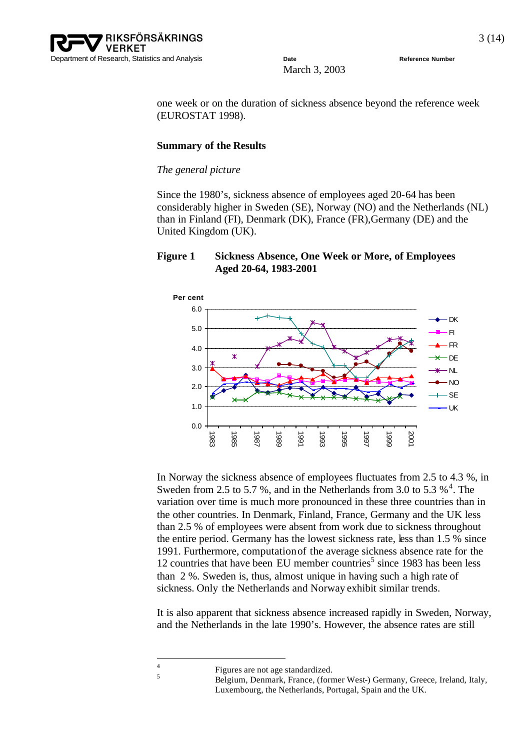

one week or on the duration of sickness absence beyond the reference week (EUROSTAT 1998).

#### **Summary of the Results**

#### *The general picture*

Since the 1980's, sickness absence of employees aged 20-64 has been considerably higher in Sweden (SE), Norway (NO) and the Netherlands (NL) than in Finland (FI), Denmark (DK), France (FR),Germany (DE) and the United Kingdom (UK).

#### **Figure 1 Sickness Absence, One Week or More, of Employees Aged 20-64, 1983-2001**



In Norway the sickness absence of employees fluctuates from 2.5 to 4.3 %, in Sweden from 2.5 to 5.7 %, and in the Netherlands from 3.0 to 5.3  $\frac{1}{2}$ <sup>4</sup>. The variation over time is much more pronounced in these three countries than in the other countries. In Denmark, Finland, France, Germany and the UK less than 2.5 % of employees were absent from work due to sickness throughout the entire period. Germany has the lowest sickness rate, less than 1.5 % since 1991. Furthermore, computation of the average sickness absence rate for the 12 countries that have been EU member countries<sup>5</sup> since 1983 has been less than 2 %. Sweden is, thus, almost unique in having such a high rate of sickness. Only the Netherlands and Norway exhibit similar trends.

It is also apparent that sickness absence increased rapidly in Sweden, Norway, and the Netherlands in the late 1990's. However, the absence rates are still

 $\frac{1}{4}$ 

Figures are not age standardized.

<sup>5</sup> Belgium, Denmark, France, (former West-) Germany, Greece, Ireland, Italy, Luxembourg, the Netherlands, Portugal, Spain and the UK.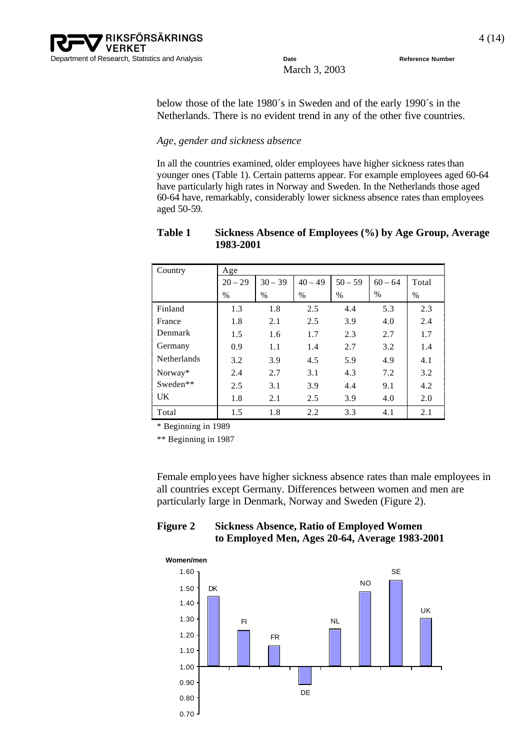below those of the late 1980´s in Sweden and of the early 1990´s in the Netherlands. There is no evident trend in any of the other five countries.

#### *Age, gender and sickness absence*

In all the countries examined, older employees have higher sickness rates than younger ones (Table 1). Certain patterns appear. For example employees aged 60-64 have particularly high rates in Norway and Sweden. In the Netherlands those aged 60-64 have, remarkably, considerably lower sickness absence rates than employees aged 50-59.

| Country            | Age       |           |           |           |           |       |  |  |  |
|--------------------|-----------|-----------|-----------|-----------|-----------|-------|--|--|--|
|                    | $20 - 29$ | $30 - 39$ | $40 - 49$ | $50 - 59$ | $60 - 64$ | Total |  |  |  |
|                    | $\%$      | $\%$      | $\%$      | $\%$      | $\%$      | $\%$  |  |  |  |
| Finland            | 1.3       | 1.8       | 2.5       | 4.4       | 5.3       | 2.3   |  |  |  |
| France             | 1.8       | 2.1       | 2.5       | 3.9       | 4.0       | 2.4   |  |  |  |
| Denmark            | 1.5       | 1.6       | 1.7       | 2.3       | 2.7       | 1.7   |  |  |  |
| Germany            | 0.9       | 1.1       | 1.4       | 2.7       | 3.2       | 1.4   |  |  |  |
| <b>Netherlands</b> | 3.2       | 3.9       | 4.5       | 5.9       | 4.9       | 4.1   |  |  |  |
| Norway*            | 2.4       | 2.7       | 3.1       | 4.3       | 7.2       | 3.2   |  |  |  |
| Sweden**           | 2.5       | 3.1       | 3.9       | 4.4       | 9.1       | 4.2   |  |  |  |
| <b>UK</b>          | 1.8       | 2.1       | 2.5       | 3.9       | 4.0       | 2.0   |  |  |  |
| Total              | 1.5       | 1.8       | 2.2       | 3.3       | 4.1       | 2.1   |  |  |  |

#### **Table 1 Sickness Absence of Employees (%) by Age Group, Average 1983-2001**

\* Beginning in 1989

\*\* Beginning in 1987

Female employees have higher sickness absence rates than male employees in all countries except Germany. Differences between women and men are particularly large in Denmark, Norway and Sweden (Figure 2).

#### **Figure 2 Sickness Absence, Ratio of Employed Women to Employed Men, Ages 20-64, Average 1983-2001**

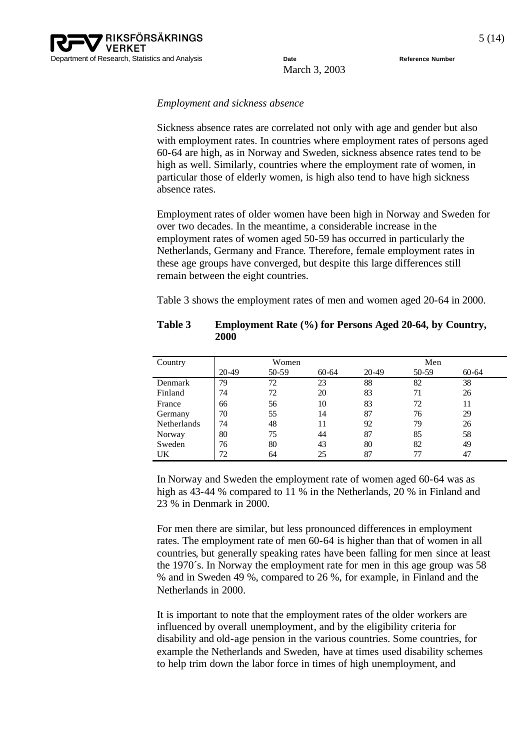#### *Employment and sickness absence*

Sickness absence rates are correlated not only with age and gender but also with employment rates. In countries where employment rates of persons aged 60-64 are high, as in Norway and Sweden, sickness absence rates tend to be high as well. Similarly, countries where the employment rate of women, in particular those of elderly women, is high also tend to have high sickness absence rates.

Employment rates of older women have been high in Norway and Sweden for over two decades. In the meantime, a considerable increase in the employment rates of women aged 50-59 has occurred in particularly the Netherlands, Germany and France. Therefore, female employment rates in these age groups have converged, but despite this large differences still remain between the eight countries.

Table 3 shows the employment rates of men and women aged 20-64 in 2000.

| Country            | Women |       |           | Men   |       |           |
|--------------------|-------|-------|-----------|-------|-------|-----------|
|                    | 20-49 | 50-59 | $60 - 64$ | 20-49 | 50-59 | $60 - 64$ |
| Denmark            | 79    | 72    | 23        | 88    | 82    | 38        |
| Finland            | 74    | 72    | 20        | 83    | 71    | 26        |
| France             | 66    | 56    | 10        | 83    | 72    | 11        |
| Germany            | 70    | 55    | 14        | 87    | 76    | 29        |
| <b>Netherlands</b> | 74    | 48    | 11        | 92    | 79    | 26        |
| Norway             | 80    | 75    | 44        | 87    | 85    | 58        |
| Sweden             | 76    | 80    | 43        | 80    | 82    | 49        |
| UK                 | 72    | 64    | 25        | 87    | 77    | 47        |

**Table 3 Employment Rate (%) for Persons Aged 20-64, by Country, 2000**

In Norway and Sweden the employment rate of women aged 60-64 was as high as 43-44 % compared to 11 % in the Netherlands, 20 % in Finland and 23 % in Denmark in 2000.

For men there are similar, but less pronounced differences in employment rates. The employment rate of men 60-64 is higher than that of women in all countries, but generally speaking rates have been falling for men since at least the 1970´s. In Norway the employment rate for men in this age group was 58 % and in Sweden 49 %, compared to 26 %, for example, in Finland and the Netherlands in 2000.

It is important to note that the employment rates of the older workers are influenced by overall unemployment, and by the eligibility criteria for disability and old-age pension in the various countries. Some countries, for example the Netherlands and Sweden, have at times used disability schemes to help trim down the labor force in times of high unemployment, and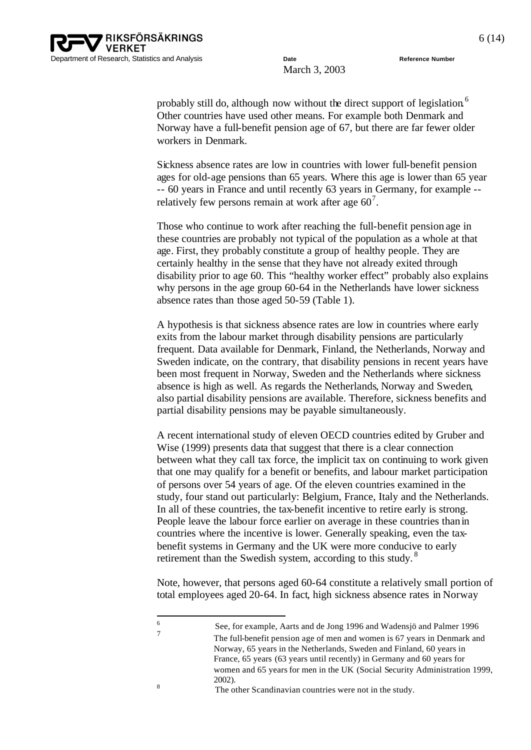

probably still do, although now without the direct support of legislation.<sup>6</sup> Other countries have used other means. For example both Denmark and Norway have a full-benefit pension age of 67, but there are far fewer older workers in Denmark.

Sickness absence rates are low in countries with lower full-benefit pension ages for old-age pensions than 65 years. Where this age is lower than 65 year -- 60 years in France and until recently 63 years in Germany, for example - relatively few persons remain at work after age  $60^7$ .

Those who continue to work after reaching the full-benefit pension age in these countries are probably not typical of the population as a whole at that age. First, they probably constitute a group of healthy people. They are certainly healthy in the sense that they have not already exited through disability prior to age 60. This "healthy worker effect" probably also explains why persons in the age group 60-64 in the Netherlands have lower sickness absence rates than those aged 50-59 (Table 1).

A hypothesis is that sickness absence rates are low in countries where early exits from the labour market through disability pensions are particularly frequent. Data available for Denmark, Finland, the Netherlands, Norway and Sweden indicate, on the contrary, that disability pensions in recent years have been most frequent in Norway, Sweden and the Netherlands where sickness absence is high as well. As regards the Netherlands, Norway and Sweden, also partial disability pensions are available. Therefore, sickness benefits and partial disability pensions may be payable simultaneously.

A recent international study of eleven OECD countries edited by Gruber and Wise (1999) presents data that suggest that there is a clear connection between what they call tax force, the implicit tax on continuing to work given that one may qualify for a benefit or benefits, and labour market participation of persons over 54 years of age. Of the eleven countries examined in the study, four stand out particularly: Belgium, France, Italy and the Netherlands. In all of these countries, the tax-benefit incentive to retire early is strong. People leave the labour force earlier on average in these countries than in countries where the incentive is lower. Generally speaking, even the taxbenefit systems in Germany and the UK were more conducive to early retirement than the Swedish system, according to this study.<sup>8</sup>

Note, however, that persons aged 60-64 constitute a relatively small portion of total employees aged 20-64. In fact, high sickness absence rates in Norway

 $\frac{1}{6}$ See, for example, Aarts and de Jong 1996 and Wadensjö and Palmer 1996 7 The full-benefit pension age of men and women is 67 years in Denmark and Norway, 65 years in the Netherlands, Sweden and Finland, 60 years in France, 65 years (63 years until recently) in Germany and 60 years for women and 65 years for men in the UK (Social Security Administration 1999, 2002). 8

The other Scandinavian countries were not in the study.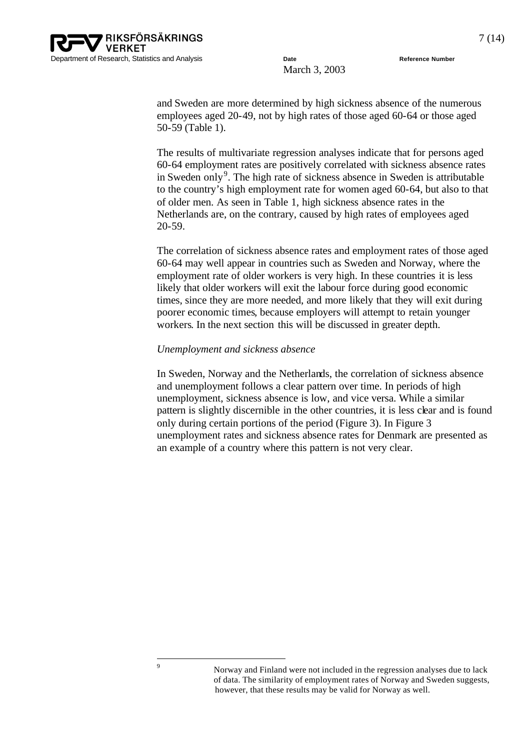

and Sweden are more determined by high sickness absence of the numerous employees aged 20-49, not by high rates of those aged 60-64 or those aged 50-59 (Table 1).

The results of multivariate regression analyses indicate that for persons aged 60-64 employment rates are positively correlated with sickness absence rates in Sweden only<sup>9</sup>. The high rate of sickness absence in Sweden is attributable to the country's high employment rate for women aged 60-64, but also to that of older men. As seen in Table 1, high sickness absence rates in the Netherlands are, on the contrary, caused by high rates of employees aged 20-59.

The correlation of sickness absence rates and employment rates of those aged 60-64 may well appear in countries such as Sweden and Norway, where the employment rate of older workers is very high. In these countries it is less likely that older workers will exit the labour force during good economic times, since they are more needed, and more likely that they will exit during poorer economic times, because employers will attempt to retain younger workers. In the next section this will be discussed in greater depth.

#### *Unemployment and sickness absence*

In Sweden, Norway and the Netherlands, the correlation of sickness absence and unemployment follows a clear pattern over time. In periods of high unemployment, sickness absence is low, and vice versa. While a similar pattern is slightly discernible in the other countries, it is less clear and is found only during certain portions of the period (Figure 3). In Figure 3 unemployment rates and sickness absence rates for Denmark are presented as an example of a country where this pattern is not very clear.

<sup>9</sup> Norway and Finland were not included in the regression analyses due to lack of data. The similarity of employment rates of Norway and Sweden suggests, however, that these results may be valid for Norway as well.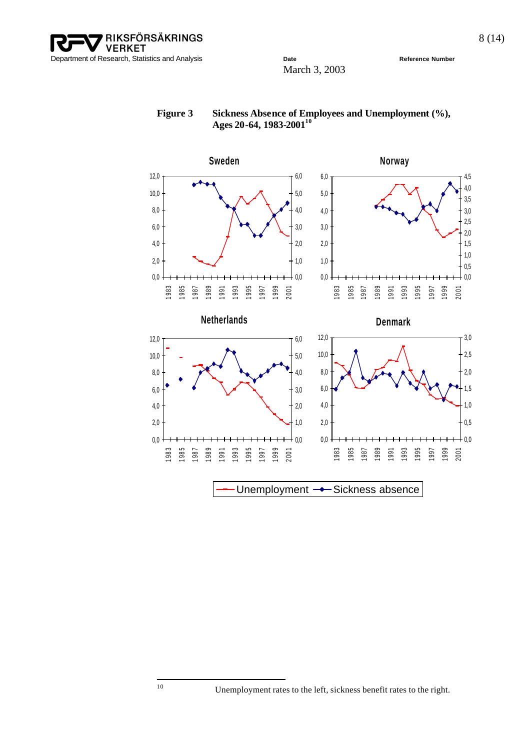**VERKET** Department of Research, Statistics and Analysis **Date Date Reference Number Reference Number** 

RIKSFÖRSÄKRINGS

March 3, 2003



#### Figure 3 Sickness Absence of Employees and Unemployment (%), **Ages 20-64, 1983-2001<sup>10</sup>**

Unemployment  $\rightarrow$  Sickness absence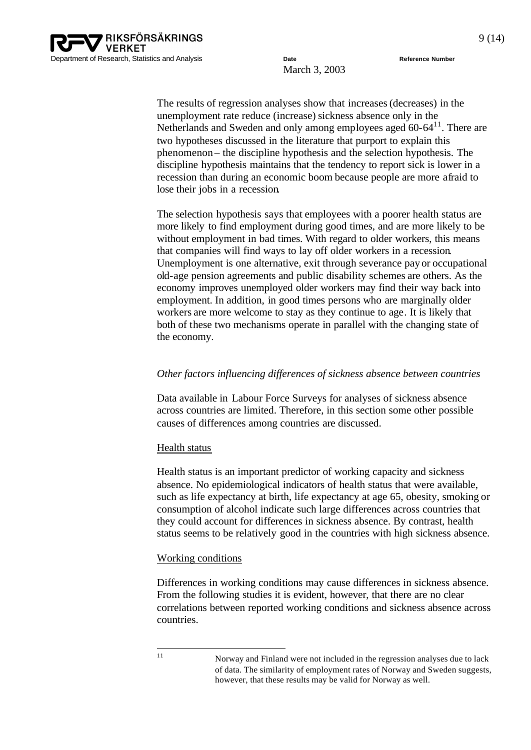

The results of regression analyses show that increases(decreases) in the unemployment rate reduce (increase) sickness absence only in the Netherlands and Sweden and only among employees aged 60-64<sup>11</sup>. There are two hypotheses discussed in the literature that purport to explain this phenomenon – the discipline hypothesis and the selection hypothesis. The discipline hypothesis maintains that the tendency to report sick is lower in a recession than during an economic boom because people are more afraid to lose their jobs in a recession.

The selection hypothesis says that employees with a poorer health status are more likely to find employment during good times, and are more likely to be without employment in bad times. With regard to older workers, this means that companies will find ways to lay off older workers in a recession. Unemployment is one alternative, exit through severance pay or occupational old-age pension agreements and public disability schemes are others. As the economy improves unemployed older workers may find their way back into employment. In addition, in good times persons who are marginally older workers are more welcome to stay as they continue to age. It is likely that both of these two mechanisms operate in parallel with the changing state of the economy.

#### *Other factors influencing differences of sickness absence between countries*

Data available in Labour Force Surveys for analyses of sickness absence across countries are limited. Therefore, in this section some other possible causes of differences among countries are discussed.

#### Health status

Health status is an important predictor of working capacity and sickness absence. No epidemiological indicators of health status that were available, such as life expectancy at birth, life expectancy at age 65, obesity, smoking or consumption of alcohol indicate such large differences across countries that they could account for differences in sickness absence. By contrast, health status seems to be relatively good in the countries with high sickness absence.

#### Working conditions

Differences in working conditions may cause differences in sickness absence. From the following studies it is evident, however, that there are no clear correlations between reported working conditions and sickness absence across countries.

<sup>|&</sup>lt;br>|<br>| 1

Norway and Finland were not included in the regression analyses due to lack of data. The similarity of employment rates of Norway and Sweden suggests, however, that these results may be valid for Norway as well.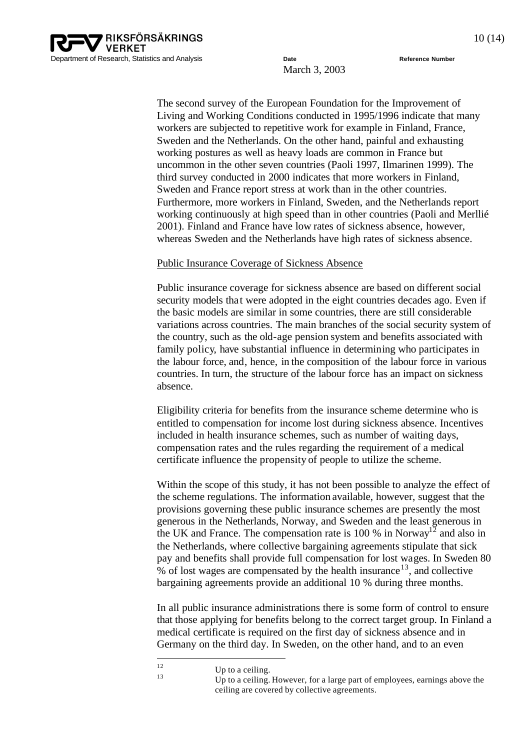

The second survey of the European Foundation for the Improvement of Living and Working Conditions conducted in 1995/1996 indicate that many workers are subjected to repetitive work for example in Finland, France, Sweden and the Netherlands. On the other hand, painful and exhausting working postures as well as heavy loads are common in France but uncommon in the other seven countries (Paoli 1997, Ilmarinen 1999). The third survey conducted in 2000 indicates that more workers in Finland, Sweden and France report stress at work than in the other countries. Furthermore, more workers in Finland, Sweden, and the Netherlands report working continuously at high speed than in other countries (Paoli and Merllié 2001). Finland and France have low rates of sickness absence, however, whereas Sweden and the Netherlands have high rates of sickness absence.

#### Public Insurance Coverage of Sickness Absence

Public insurance coverage for sickness absence are based on different social security models that were adopted in the eight countries decades ago. Even if the basic models are similar in some countries, there are still considerable variations across countries. The main branches of the social security system of the country, such as the old-age pension system and benefits associated with family policy, have substantial influence in determining who participates in the labour force, and, hence, in the composition of the labour force in various countries. In turn, the structure of the labour force has an impact on sickness absence.

Eligibility criteria for benefits from the insurance scheme determine who is entitled to compensation for income lost during sickness absence. Incentives included in health insurance schemes, such as number of waiting days, compensation rates and the rules regarding the requirement of a medical certificate influence the propensity of people to utilize the scheme.

Within the scope of this study, it has not been possible to analyze the effect of the scheme regulations. The information available, however, suggest that the provisions governing these public insurance schemes are presently the most generous in the Netherlands, Norway, and Sweden and the least generous in the UK and France. The compensation rate is 100  $\%$  in Norway<sup>12</sup> and also in the Netherlands, where collective bargaining agreements stipulate that sick pay and benefits shall provide full compensation for lost wages. In Sweden 80  $%$  of lost wages are compensated by the health insurance<sup>13</sup>, and collective bargaining agreements provide an additional 10 % during three months.

In all public insurance administrations there is some form of control to ensure that those applying for benefits belong to the correct target group. In Finland a medical certificate is required on the first day of sickness absence and in Germany on the third day. In Sweden, on the other hand, and to an even

 $12$  $\frac{12}{13}$  Up to a ceiling.

Up to a ceiling. However, for a large part of employees, earnings above the ceiling are covered by collective agreements.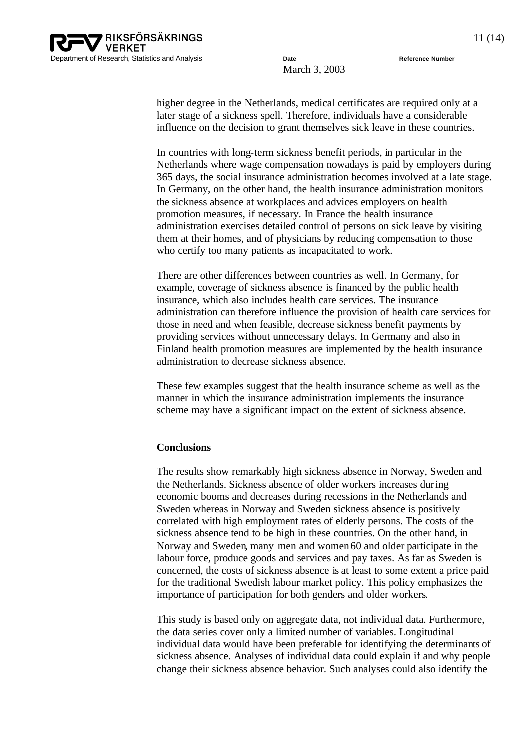higher degree in the Netherlands, medical certificates are required only at a later stage of a sickness spell. Therefore, individuals have a considerable influence on the decision to grant themselves sick leave in these countries.

In countries with long-term sickness benefit periods, in particular in the Netherlands where wage compensation nowadays is paid by employers during 365 days, the social insurance administration becomes involved at a late stage. In Germany, on the other hand, the health insurance administration monitors the sickness absence at workplaces and advices employers on health promotion measures, if necessary. In France the health insurance administration exercises detailed control of persons on sick leave by visiting them at their homes, and of physicians by reducing compensation to those who certify too many patients as incapacitated to work.

There are other differences between countries as well. In Germany, for example, coverage of sickness absence is financed by the public health insurance, which also includes health care services. The insurance administration can therefore influence the provision of health care services for those in need and when feasible, decrease sickness benefit payments by providing services without unnecessary delays. In Germany and also in Finland health promotion measures are implemented by the health insurance administration to decrease sickness absence.

These few examples suggest that the health insurance scheme as well as the manner in which the insurance administration implements the insurance scheme may have a significant impact on the extent of sickness absence.

#### **Conclusions**

The results show remarkably high sickness absence in Norway, Sweden and the Netherlands. Sickness absence of older workers increases during economic booms and decreases during recessions in the Netherlands and Sweden whereas in Norway and Sweden sickness absence is positively correlated with high employment rates of elderly persons. The costs of the sickness absence tend to be high in these countries. On the other hand, in Norway and Sweden, many men and women 60 and older participate in the labour force, produce goods and services and pay taxes. As far as Sweden is concerned, the costs of sickness absence is at least to some extent a price paid for the traditional Swedish labour market policy. This policy emphasizes the importance of participation for both genders and older workers.

This study is based only on aggregate data, not individual data. Furthermore, the data series cover only a limited number of variables. Longitudinal individual data would have been preferable for identifying the determinants of sickness absence. Analyses of individual data could explain if and why people change their sickness absence behavior. Such analyses could also identify the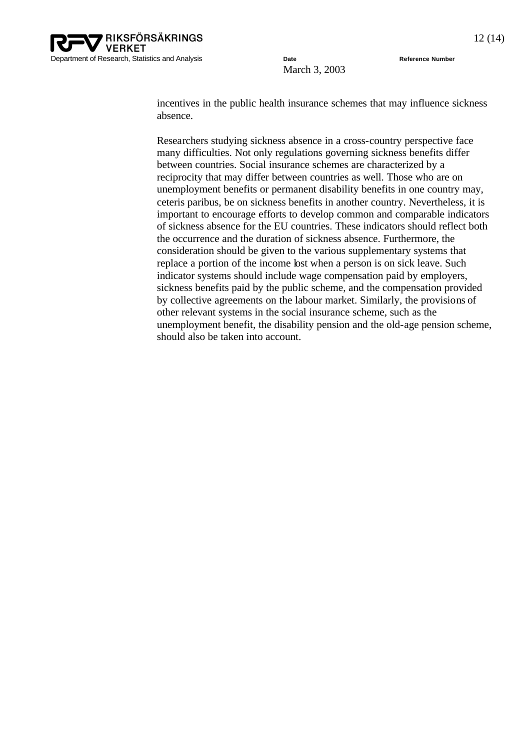incentives in the public health insurance schemes that may influence sickness absence.

Researchers studying sickness absence in a cross-country perspective face many difficulties. Not only regulations governing sickness benefits differ between countries. Social insurance schemes are characterized by a reciprocity that may differ between countries as well. Those who are on unemployment benefits or permanent disability benefits in one country may, ceteris paribus, be on sickness benefits in another country. Nevertheless, it is important to encourage efforts to develop common and comparable indicators of sickness absence for the EU countries. These indicators should reflect both the occurrence and the duration of sickness absence. Furthermore, the consideration should be given to the various supplementary systems that replace a portion of the income lost when a person is on sick leave. Such indicator systems should include wage compensation paid by employers, sickness benefits paid by the public scheme, and the compensation provided by collective agreements on the labour market. Similarly, the provisions of other relevant systems in the social insurance scheme, such as the unemployment benefit, the disability pension and the old-age pension scheme, should also be taken into account.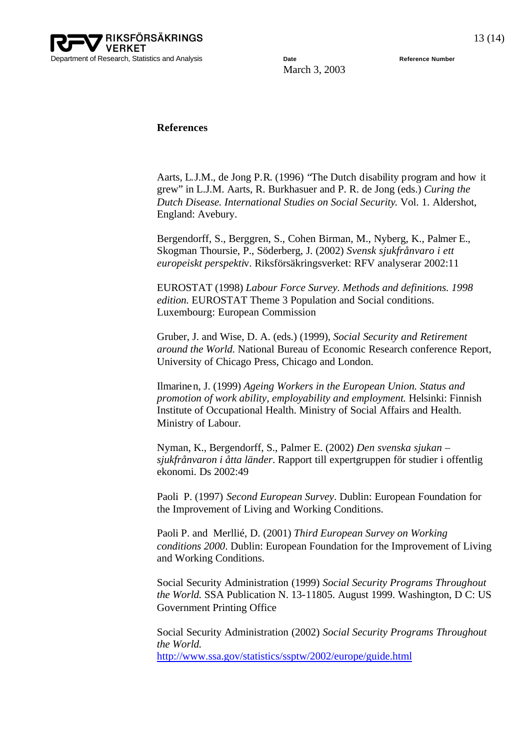

#### **References**

Aarts, L.J.M., de Jong P.R. (1996) "The Dutch disability program and how it grew" in L.J.M. Aarts, R. Burkhasuer and P. R. de Jong (eds.) *Curing the Dutch Disease. International Studies on Social Security*. Vol. 1. Aldershot, England: Avebury.

Bergendorff, S., Berggren, S., Cohen Birman, M., Nyberg, K., Palmer E., Skogman Thoursie, P., Söderberg, J. (2002) *Svensk sjukfrånvaro i ett europeiskt perspekti*v. Riksförsäkringsverket: RFV analyserar 2002:11

EUROSTAT (1998) *Labour Force Survey. Methods and definitions. 1998 edition.* EUROSTAT Theme 3 Population and Social conditions. Luxembourg: European Commission

Gruber, J. and Wise, D. A. (eds.) (1999), *Social Security and Retirement around the World.* National Bureau of Economic Research conference Report, University of Chicago Press, Chicago and London.

Ilmarinen, J. (1999) *Ageing Workers in the European Union. Status and promotion of work ability, employability and employment.* Helsinki: Finnish Institute of Occupational Health. Ministry of Social Affairs and Health. Ministry of Labour.

Nyman, K., Bergendorff, S., Palmer E. (2002) *Den svenska sjukan – sjukfrånvaron i åtta länder*. Rapport till expertgruppen för studier i offentlig ekonomi. Ds 2002:49

Paoli P. (1997) *Second European Survey*. Dublin: European Foundation for the Improvement of Living and Working Conditions.

Paoli P. and Merllié, D. (2001) *Third European Survey on Working conditions 2000*. Dublin: European Foundation for the Improvement of Living and Working Conditions.

Social Security Administration (1999) *Social Security Programs Throughout the World.* SSA Publication N. 13-11805. August 1999. Washington, D C: US Government Printing Office

Social Security Administration (2002) *Social Security Programs Throughout the World.*  <http://www.ssa.gov/statistics/ssptw/2002/europe/guide.html>